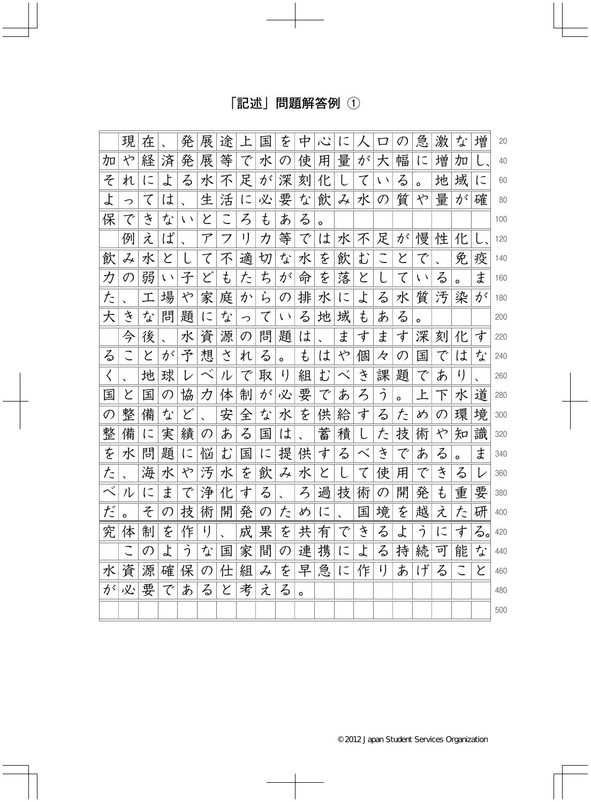## [記述] 問題解答例 ①

|           | 現             | 在         |            | 発          | 展              | 涂 |                             | 匤 | を             | 中       | べ       | に         |   | □             |         | 急          | 激      | な       | 増         | 20  |
|-----------|---------------|-----------|------------|------------|----------------|---|-----------------------------|---|---------------|---------|---------|-----------|---|---------------|---------|------------|--------|---------|-----------|-----|
| 加         | や             | 経         | 済          | 発          | 展              | 等 | で                           | 水 | の             | 使       | 用       | 量         | が | 大             | 幅       | に          | 増      | 加       |           | 40  |
| そ         | れ             | に         | よ          | る          | 水              | 不 | 足                           | が | 深             | 刻       | 化       |           | て | $\sqrt{2}$    | る       | o          | 地      | 域       | $\subset$ | 60  |
| よ         | っ             | て         | は          |            | 生              | 活 | に                           | 必 | 要             | な       | 飲       | み         | 水 | $\mathcal{O}$ | 質       | や          | 量      | が       | 確         | 80  |
| 保         | で             | さ         | な          | $\sqrt{2}$ | と              |   | $\mathcal{Z}_{\mathcal{D}}$ | ŧ | あ             | る       | $\circ$ |           |   |               |         |            |        |         |           | 100 |
|           | 例             | え         | ば          |            | ${\cal T}$     | フ | I)                          | カ | 等             | で       | は       | 水         | 不 | 足             | が       | 慢          | 性      | 化       |           | 120 |
| 飲         | み             | 水         | と          |            | て              | 不 | 適                           | 切 | な             | 水       | を       | 飲         | む |               | と       | で          |        | 免       | 疫         | 140 |
| カ         | $\mathcal{O}$ | 弱         | $\sqrt{2}$ | 子          | ど              | ŧ | た                           | ち | が             | 命       | を       | 落         | と |               | て       | $\sqrt{2}$ | る      | $\circ$ | ま         | 160 |
| た         |               | 工         | 場          | や          | 家              | 庭 | か                           | ら | $\mathcal{O}$ | 排       | 水       | $\subset$ | よ | る             | 水       | 質          | 汚      | 染       | が         | 180 |
| 大         | き             | な         | 問          | 題          | に              | な | っ                           | て | $\sqrt{2}$    | る       | 地       | 域         | ŧ | あ             | る       | $\circ$    |        |         |           | 200 |
|           | 今             | 後         |            | 水          | 資              | 源 | $\mathcal{O}$               | 問 | 題             | は       |         | ま         | す | ま             | す       | 深          | 刻      | 化       | す         | 220 |
| る         |               | と         | が          | 予          | 想              | さ | れ                           | る | $\circ$       | ŧ       | は       | や         | 個 | 々             | の       | 匤          | で      | は       | な         | 240 |
| $\langle$ |               | 地         | 球          |            |                | ル | で                           | 取 | I)            | 組       | む       | べ         | き | 課             | 題       | で          | あ      | $\iota$ |           | 260 |
| 国         | Y             | 国         | の          | 協          | カ              | 体 | 制                           | が | 必             | 要       | で       | あ         | ろ | う             | $\circ$ | 上          | $\top$ | 水       | 道         | 280 |
| の         | 整             | 備         | な          | ど          |                | 安 | 全                           | な | 水             | を       | 供       | 給         | 寸 | る             | た       | め          | の      | 環       | 境         | 300 |
| 整         | 備             | に         | 実          | 績          | の              | あ | る                           | 国 | は             |         | 蓄       | 積         |   | た             | 技       | 術          | や      | 知       | 識         | 320 |
| を         | 水             | 問         | 題          | に          | 悩              | む | 国                           | に | 提             | 供       | す       | る         | べ | き             | で       | あ          | る      | $\circ$ | ま         | 340 |
| た         |               | 海         | 水          | や          | 汚              | 水 | を                           | 飲 | み             | 水       | と       |           | て | 使             | 用       | で          | さ      | る       | レ         | 360 |
| べ         | ル             | $\subset$ | ま          | で          | 浄              | 化 | す                           | る |               | ろ       | 過       | 技         | 術 | の             | 開       | 発          | ŧ      | 重       | 要         | 380 |
| だ         |               | そ         | の          | 技          | 術              | 開 | 発                           | の | た             | め       | に       |           | 国 | 境             | を       | 越          | え      | た       | 研         | 400 |
| 究         | 体             | 制         | を          | 作          | $\mathfrak{t}$ |   | 成                           | 果 | を             | 共       | 有       | で         | き | る             | よ       | う          | に      | 寸       | る。        | 420 |
|           |               | の         | よ          | う          | な              | 国 | 家                           | 間 | の             | 連       | 携       | に         | よ | る             | 持       | 続          | 可      | 能       | な         | 440 |
| 水         | 資             | 源         | 確          | 保          | $\mathcal{O}$  | 仕 | 組                           | み | を             | 早       | 急       | に         | 作 | I)            | あ       | げ          | る      | こ       | と         | 460 |
| が         | 必             | 要         | で          | あ          | る              | と | 考                           | え | る             | $\circ$ |         |           |   |               |         |            |        |         |           | 480 |
|           |               |           |            |            |                |   |                             |   |               |         |         |           |   |               |         |            |        |         |           | 500 |